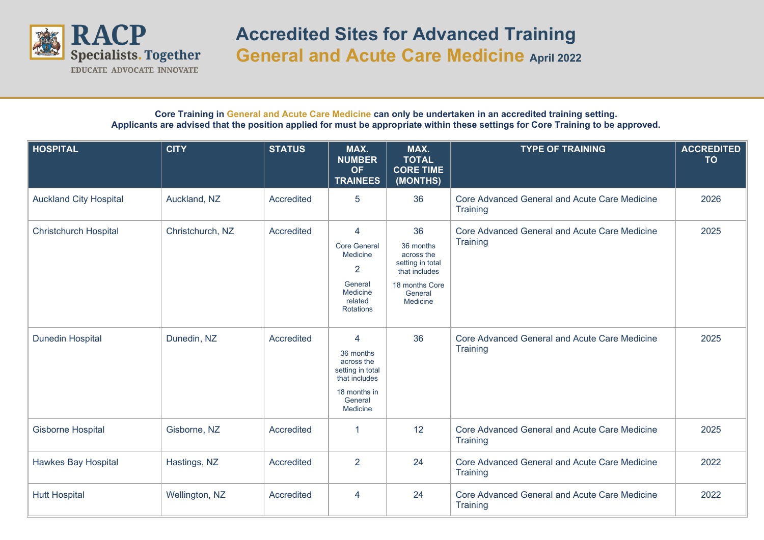

## **Accredited Sites for Advanced Training General and Acute Care Medicine April 2022**

**Core Training in General and Acute Care Medicine can only be undertaken in an accredited training setting. Applicants are advised that the position applied for must be appropriate within these settings for Core Training to be approved.**

| <b>HOSPITAL</b>               | <b>CITY</b>      | <b>STATUS</b> | MAX.<br><b>NUMBER</b><br><b>OF</b><br><b>TRAINEES</b>                                                        | MAX.<br><b>TOTAL</b><br><b>CORE TIME</b><br>(MONTHS)                                                        | <b>TYPE OF TRAINING</b>                                          | <b>ACCREDITED</b><br><b>TO</b> |
|-------------------------------|------------------|---------------|--------------------------------------------------------------------------------------------------------------|-------------------------------------------------------------------------------------------------------------|------------------------------------------------------------------|--------------------------------|
| <b>Auckland City Hospital</b> | Auckland, NZ     | Accredited    | 5                                                                                                            | 36                                                                                                          | Core Advanced General and Acute Care Medicine<br>Training        | 2026                           |
| <b>Christchurch Hospital</b>  | Christchurch, NZ | Accredited    | 4<br><b>Core General</b><br>Medicine<br>$\overline{2}$<br>General<br>Medicine<br>related<br><b>Rotations</b> | 36<br>36 months<br>across the<br>setting in total<br>that includes<br>18 months Core<br>General<br>Medicine | Core Advanced General and Acute Care Medicine<br>Training        | 2025                           |
| <b>Dunedin Hospital</b>       | Dunedin, NZ      | Accredited    | 4<br>36 months<br>across the<br>setting in total<br>that includes<br>18 months in<br>General<br>Medicine     | 36                                                                                                          | Core Advanced General and Acute Care Medicine<br>Training        | 2025                           |
| <b>Gisborne Hospital</b>      | Gisborne, NZ     | Accredited    | 1                                                                                                            | 12                                                                                                          | Core Advanced General and Acute Care Medicine<br>Training        | 2025                           |
| <b>Hawkes Bay Hospital</b>    | Hastings, NZ     | Accredited    | $\overline{2}$                                                                                               | 24                                                                                                          | Core Advanced General and Acute Care Medicine<br><b>Training</b> | 2022                           |
| <b>Hutt Hospital</b>          | Wellington, NZ   | Accredited    | 4                                                                                                            | 24                                                                                                          | Core Advanced General and Acute Care Medicine<br>Training        | 2022                           |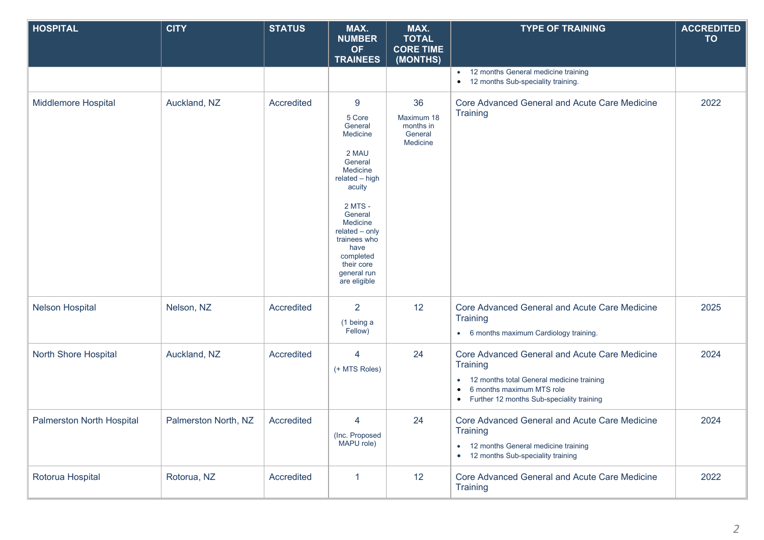| <b>HOSPITAL</b>                  | <b>CITY</b>          | <b>STATUS</b> | MAX.<br><b>NUMBER</b><br><b>OF</b><br><b>TRAINEES</b>                                                                                                                                                                                                 | MAX.<br><b>TOTAL</b><br><b>CORE TIME</b><br>(MONTHS) | <b>TYPE OF TRAINING</b>                                                                                                                                                              | <b>ACCREDITED</b><br><b>TO</b> |
|----------------------------------|----------------------|---------------|-------------------------------------------------------------------------------------------------------------------------------------------------------------------------------------------------------------------------------------------------------|------------------------------------------------------|--------------------------------------------------------------------------------------------------------------------------------------------------------------------------------------|--------------------------------|
|                                  |                      |               |                                                                                                                                                                                                                                                       |                                                      | 12 months General medicine training<br>• 12 months Sub-speciality training.                                                                                                          |                                |
| <b>Middlemore Hospital</b>       | Auckland, NZ         | Accredited    | $\boldsymbol{9}$<br>5 Core<br>General<br>Medicine<br>2 MAU<br>General<br>Medicine<br>related - high<br>acuity<br>2 MTS -<br>General<br>Medicine<br>$related - only$<br>trainees who<br>have<br>completed<br>their core<br>general run<br>are eligible | 36<br>Maximum 18<br>months in<br>General<br>Medicine | Core Advanced General and Acute Care Medicine<br>Training                                                                                                                            | 2022                           |
| <b>Nelson Hospital</b>           | Nelson, NZ           | Accredited    | $\overline{2}$<br>(1 being a<br>Fellow)                                                                                                                                                                                                               | 12                                                   | Core Advanced General and Acute Care Medicine<br>Training<br>• 6 months maximum Cardiology training.                                                                                 | 2025                           |
| North Shore Hospital             | Auckland, NZ         | Accredited    | 4<br>(+ MTS Roles)                                                                                                                                                                                                                                    | 24                                                   | Core Advanced General and Acute Care Medicine<br>Training<br>• 12 months total General medicine training<br>6 months maximum MTS role<br>• Further 12 months Sub-speciality training | 2024                           |
| <b>Palmerston North Hospital</b> | Palmerston North, NZ | Accredited    | 4<br>(Inc. Proposed<br>MAPU role)                                                                                                                                                                                                                     | 24                                                   | Core Advanced General and Acute Care Medicine<br>Training<br>• 12 months General medicine training<br>• 12 months Sub-speciality training                                            | 2024                           |
| Rotorua Hospital                 | Rotorua, NZ          | Accredited    | 1                                                                                                                                                                                                                                                     | 12                                                   | Core Advanced General and Acute Care Medicine<br>Training                                                                                                                            | 2022                           |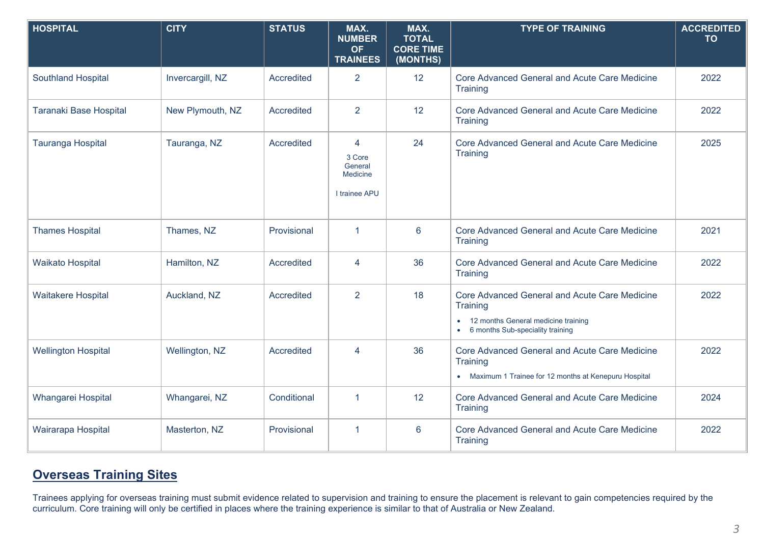| <b>HOSPITAL</b>            | <b>CITY</b>      | <b>STATUS</b>     | MAX.<br><b>NUMBER</b><br><b>OF</b><br><b>TRAINEES</b> | MAX.<br><b>TOTAL</b><br><b>CORE TIME</b><br>(MONTHS) | <b>TYPE OF TRAINING</b>                                                                                                                           | <b>ACCREDITED</b><br><b>TO</b> |
|----------------------------|------------------|-------------------|-------------------------------------------------------|------------------------------------------------------|---------------------------------------------------------------------------------------------------------------------------------------------------|--------------------------------|
| <b>Southland Hospital</b>  | Invercargill, NZ | Accredited        | $\overline{2}$                                        | 12                                                   | Core Advanced General and Acute Care Medicine<br>Training                                                                                         | 2022                           |
| Taranaki Base Hospital     | New Plymouth, NZ | Accredited        | 2                                                     | 12                                                   | Core Advanced General and Acute Care Medicine<br>Training                                                                                         | 2022                           |
| Tauranga Hospital          | Tauranga, NZ     | Accredited        | 4<br>3 Core<br>General<br>Medicine<br>I trainee APU   | 24                                                   | Core Advanced General and Acute Care Medicine<br>Training                                                                                         | 2025                           |
| <b>Thames Hospital</b>     | Thames, NZ       | Provisional       | 1                                                     | $6\phantom{1}6$                                      | Core Advanced General and Acute Care Medicine<br>Training                                                                                         | 2021                           |
| <b>Waikato Hospital</b>    | Hamilton, NZ     | Accredited        | 4                                                     | 36                                                   | Core Advanced General and Acute Care Medicine<br>Training                                                                                         | 2022                           |
| <b>Waitakere Hospital</b>  | Auckland, NZ     | Accredited        | 2                                                     | 18                                                   | Core Advanced General and Acute Care Medicine<br>Training<br>12 months General medicine training<br>6 months Sub-speciality training<br>$\bullet$ | 2022                           |
| <b>Wellington Hospital</b> | Wellington, NZ   | <b>Accredited</b> | $\overline{4}$                                        | 36                                                   | Core Advanced General and Acute Care Medicine<br>Training<br>• Maximum 1 Trainee for 12 months at Kenepuru Hospital                               | 2022                           |
| Whangarei Hospital         | Whangarei, NZ    | Conditional       | 1                                                     | 12                                                   | Core Advanced General and Acute Care Medicine<br>Training                                                                                         | 2024                           |
| Wairarapa Hospital         | Masterton, NZ    | Provisional       | 1                                                     | $6\phantom{1}6$                                      | Core Advanced General and Acute Care Medicine<br>Training                                                                                         | 2022                           |

## **Overseas Training Sites**

Trainees applying for overseas training must submit evidence related to supervision and training to ensure the placement is relevant to gain competencies required by the curriculum. Core training will only be certified in places where the training experience is similar to that of Australia or New Zealand.